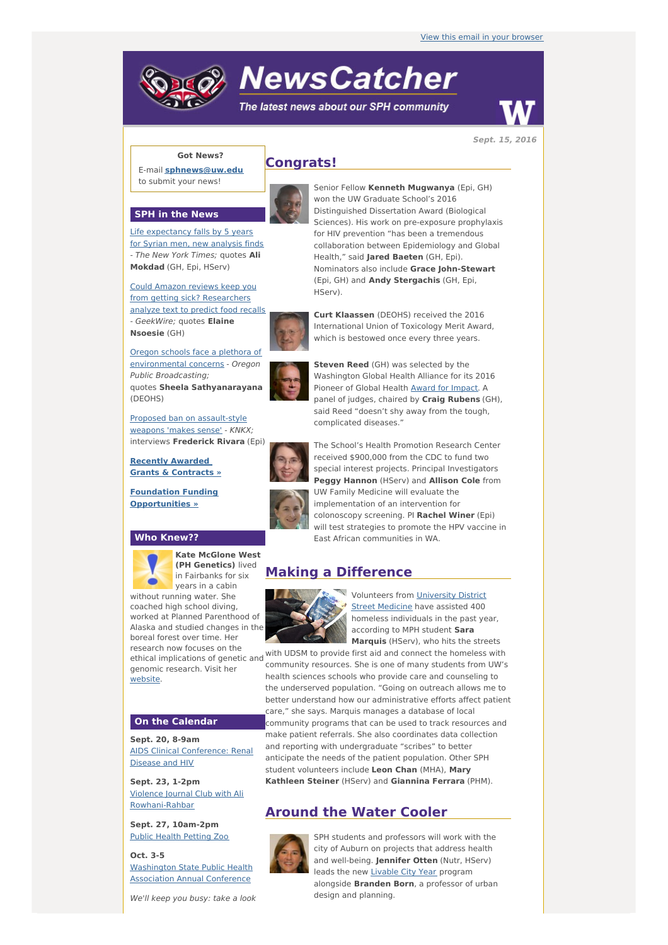# **NewsCatcher**

The latest news about our SPH community



**Sept. 15, 2016**

# **Got News?**

E-mail **[sphnews@uw.edu](mailto:sphnews@uw.edu)** to submit your news!



**SPH in the News**

Life [expectancy](http://engage.washington.edu/site/R?i=wozyhTXBEI1VEmqxWlvcfQ) falls by 5 years for Syrian men, new analysis finds - The New York Times; quotes **Ali Mokdad** (GH, Epi, HServ)

Could Amazon reviews keep you from getting sick? [Researchers](http://engage.washington.edu/site/R?i=_EDs0qGisxwa3sg8PRXDfg) analyze text to predict food recalls - GeekWire; quotes **Elaine Nsoesie** (GH)

Oregon schools face a plethora of [environmental](http://engage.washington.edu/site/R?i=IbLNVjDgUX7RMLa_kyITUA) concerns - Oregon Public Broadcasting; quotes **Sheela Sathyanarayana** (DEOHS)



Proposed ban on [assault-style](http://engage.washington.edu/site/R?i=TSACIHpCAw5JclSyT2zvVQ) weapons 'makes sense' - KNKX; interviews **Frederick Rivara** (Epi)

**Recently Awarded Grants & [Contracts](http://engage.washington.edu/site/R?i=O1K92iIngkaKZivkUfE0bg) »**

**Foundation Funding [Opportunities](http://engage.washington.edu/site/R?i=5soEClGuACpdgxyqSHuskw) »**

#### **Who Knew??**



**Kate McGlone West (PH Genetics)** lived in Fairbanks for six years in a cabin

without running water. She coached high school diving, worked at Planned Parenthood of Alaska and studied changes in the boreal forest over time. Her research now focuses on the genomic research. Visit her [website](http://engage.washington.edu/site/R?i=_2zJFtmLgay69GYA0sm1FA).

## **On the Calendar**

**Sept. 20, 8-9am** AIDS Clinical [Conference:](http://engage.washington.edu/site/R?i=quLBjId1XeSXn96Oq4fTZA) Renal Disease and HIV

**Sept. 23, 1-2pm** Violence Journal Club with Ali [Rowhani-Rahbar](http://engage.washington.edu/site/R?i=D_QkSOncu474WylYjsXfBw)

**Sept. 27, 10am-2pm** Public Health [Petting](http://engage.washington.edu/site/R?i=PQzM3FOG7izCBeVdDySEfQ) Zoo

**Oct. 3-5** [Washington](http://engage.washington.edu/site/R?i=hrF0AzfNap3J6MYuVfFE2A) State Public Health Association Annual Conference

We'll keep you busy: take a look

# **Congrats!**

Senior Fellow **Kenneth Mugwanya** (Epi, GH) won the UW Graduate School's 2016 Distinguished Dissertation Award (Biological Sciences). His work on pre-exposure prophylaxis for HIV prevention "has been a tremendous collaboration between Epidemiology and Global Health," said **Jared Baeten** (GH, Epi). Nominators also include **Grace John-Stewart** (Epi, GH) and **Andy Stergachis** (GH, Epi, HServ).



**Curt Klaassen** (DEOHS) received the 2016 International Union of Toxicology Merit Award, which is bestowed once every three years.

**Steven Reed** (GH) was selected by the Washington Global Health Alliance for its 2016 Pioneer of Global Health Award for [Impact](http://engage.washington.edu/site/R?i=Cv6087QbtZp0lprT7U-OvQ). A panel of judges, chaired by **Craig Rubens** (GH), said Reed "doesn't shy away from the tough, complicated diseases."

The School's Health Promotion Research Center received \$900,000 from the CDC to fund two special interest projects. Principal Investigators **Peggy Hannon** (HServ) and **Allison Cole** from UW Family Medicine will evaluate the implementation of an intervention for colonoscopy screening. PI **Rachel Winer** (Epi) will test strategies to promote the HPV vaccine in East African communities in WA.

# **Making a Difference**



[Volunteers](http://engage.washington.edu/site/R?i=EZGGt74nnFFCDsbzmKZdOg) from University District Street Medicine have assisted 400 homeless individuals in the past year, according to MPH student **Sara Marquis** (HServ), who hits the streets

ethical implications of genetic and with UDSM to provide first aid and connect the homeless with<br>ethical implications of genetic and community resources. She is one of many students from UW's health sciences schools who provide care and counseling to the underserved population. "Going on outreach allows me to better understand how our administrative efforts affect patient care," she says. Marquis manages a database of local community programs that can be used to track resources and make patient referrals. She also coordinates data collection and reporting with undergraduate "scribes" to better anticipate the needs of the patient population. Other SPH student volunteers include **Leon Chan** (MHA), **Mary Kathleen Steiner** (HServ) and **Giannina Ferrara** (PHM).

# **Around the Water Cooler**



SPH students and professors will work with the city of Auburn on projects that address health and well-being. **Jennifer Otten** (Nutr, HServ) leads the new [Livable](http://engage.washington.edu/site/R?i=QWp_OMafBzyGKwwsEQzmrQ) City Year program alongside **Branden Born**, a professor of urban design and planning.